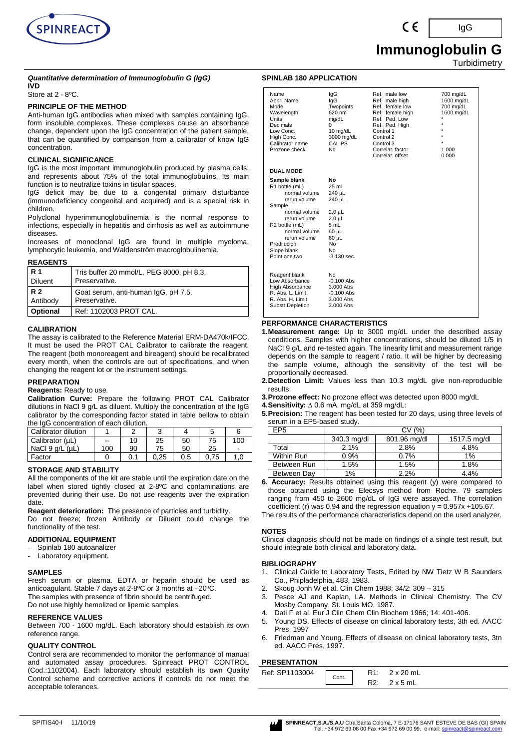

# **Immunoglobulin G**

**Turbidimetry** 

IgG

#### *Quantitative determination of Immunoglobulin G (IgG)* **IVD**

## Store at 2 - 8ºC.

## **PRINCIPLE OF THE METHOD**

Anti-human IgG antibodies when mixed with samples containing IgG, form insoluble complexes. These complexes cause an absorbance change, dependent upon the IgG concentration of the patient sample, that can be quantified by comparison from a calibrator of know IgG concentration.

## **CLINICAL SIGNIFICANCE**

IgG is the most important immunoglobulin produced by plasma cells, and represents about 75% of the total immunoglobulins. Its main function is to neutralize toxins in tisular spaces.

IgG deficit may be due to a congenital primary disturbance (immunodeficiency congenital and acquired) and is a special risk in children.

Polyclonal hyperimmunoglobulinemia is the normal response to infections, especially in hepatitis and cirrhosis as well as autoimmune diseases.

Increases of monoclonal IgG are found in multiple myoloma, lymphocytic leukemia, and Waldenström macroglobulinemia.

## **REAGENTS**

| <b>R</b> 1      | Tris buffer 20 mmol/L, PEG 8000, pH 8.3. |
|-----------------|------------------------------------------|
| <b>Diluent</b>  | Preservative.                            |
| R 2             | Goat serum, anti-human IgG, pH 7.5.      |
| Antibody        | Preservative.                            |
| <b>Optional</b> | Ref: 1102003 PROT CAL.                   |

## **CALIBRATION**

The assay is calibrated to the Reference Material ERM-DA470k/IFCC. It must be used the PROT CAL Calibrator to calibrate the reagent. The reagent (both monoreagent and bireagent) should be recalibrated every month, when the controls are out of specifications, and when changing the reagent lot or the instrument settings.

## **PREPARATION**

## **Reagents:** Ready to use.

**Calibration Curve:** Prepare the following PROT CAL Calibrator dilutions in NaCl 9 g/L as diluent. Multiply the concentration of the IgG calibrator by the corresponding factor stated in table bellow to obtain the IgG concentration of each dilution.

| Calibrator dilution |       |    |      |     |      |                          |
|---------------------|-------|----|------|-----|------|--------------------------|
| Calibrator (µL)     | $- -$ | 10 | 25   | 50  | 75   | 100                      |
| NaCl 9 g/L (µL)     | 100   | 90 | 75   | 50  | 25   | $\overline{\phantom{0}}$ |
| Factor              |       |    | 0.25 | 0.5 | 0.75 |                          |

## **STORAGE AND STABILITY**

All the components of the kit are stable until the expiration date on the label when stored tightly closed at 2-8ºC and contaminations are prevented during their use. Do not use reagents over the expiration date.

**Reagent deterioration:** The presence of particles and turbidity. Do not freeze; frozen Antibody or Diluent could change the functionality of the test.

## **ADDITIONAL EQUIPMENT**

- Spinlab 180 autoanalizer
- Laboratory equipment.

## **SAMPLES**

Fresh serum or plasma. EDTA or heparin should be used as anticoagulant. Stable 7 days at 2-8ºC or 3 months at –20ºC. The samples with presence of fibrin should be centrifuged.

Do not use highly hemolized or lipemic samples.

## **REFERENCE VALUES**

Between 700 - 1600 mg/dL. Each laboratory should establish its own reference range.

## **QUALITY CONTROL**

Control sera are recommended to monitor the performance of manual and automated assay procedures. Spinreact PROT CONTROL (Cod.:1102004). Each laboratory should establish its own Quality Control scheme and corrective actions if controls do not meet the acceptable tolerances.

## **SPINLAB 180 APPLICATION**

| Name<br>Abbr. Name<br>Mode<br>Wavelength<br><b>Units</b><br>Decimals<br>Low Conc.<br>High Conc.<br>Calibrator name<br>Prozone check                                                                           | lgG<br>lgG<br>Twopoints<br>620 nm<br>mg/dL<br>0<br>10 mg/dL<br>3000 mg/dL<br>CAL PS<br>No                                               | Ref. male low<br>Ref. male high<br>Ref. female low<br>Ref. female high<br>Ref. Ped. Low<br>Ref. Ped. High<br>Control 1<br>Control 2<br>Control 3<br>Correlat, factor<br>Correlat, offset | 700 mg/dL<br>1600 mg/dL<br>700 mg/dL<br>1600 mg/dL<br>$\star$<br>$\star$<br>$\star$<br>$\star$<br>1.000<br>0.000 |
|---------------------------------------------------------------------------------------------------------------------------------------------------------------------------------------------------------------|-----------------------------------------------------------------------------------------------------------------------------------------|------------------------------------------------------------------------------------------------------------------------------------------------------------------------------------------|------------------------------------------------------------------------------------------------------------------|
| <b>DUAL MODE</b>                                                                                                                                                                                              |                                                                                                                                         |                                                                                                                                                                                          |                                                                                                                  |
| Sample blank<br>R1 bottle (mL)<br>normal volume<br>rerun volume<br>Sample<br>normal volume<br>rerun volume<br>R2 bottle (mL)<br>normal volume<br>rerun volume<br>Predilución<br>Slope blank<br>Point one, two | No<br>25 mL<br>240 µL<br>240 µL<br>$2.0 \mu L$<br>$2.0 \mu L$<br>5 mL<br>$60$ $\mu$ L<br>60 µL<br>N <sub>o</sub><br>No<br>$-3.130$ sec. |                                                                                                                                                                                          |                                                                                                                  |
| Reagent blank<br>Low Absorbance<br>High Absorbance<br>R. Abs. L. Limit<br>R. Abs. H. Limit<br>Substr.Depletion                                                                                                | No<br>$-0.100$ Abs<br>3.000 Abs<br>$-0.100$ Abs<br>3.000 Abs<br>3.000 Abs                                                               |                                                                                                                                                                                          |                                                                                                                  |

## **PERFORMANCE CHARACTERISTICS**

- **1.Measurement range:** Up to 3000 mg/dL under the described assay conditions. Samples with higher concentrations, should be diluted 1/5 in NaCl 9 g/L and re-tested again. The linearity limit and measurement range depends on the sample to reagent / ratio. It will be higher by decreasing the sample volume, although the sensitivity of the test will be proportionally decreased.
- **2.Detection Limit:** Values less than 10.3 mg/dL give non-reproducible results.
- **3.Prozone effect:** No prozone effect was detected upon 8000 mg/dL
- **4.Sensitivity:** ∆ 0.6 mA. mg/dL at 359 mg/dL:

**5.Precision:** The reagent has been tested for 20 days, using three levels of serum in a EP5-based study.

| EP5         | CV (%)      |              |              |  |  |  |
|-------------|-------------|--------------|--------------|--|--|--|
|             | 340.3 mg/dl | 801.96 mg/dl | 1517.5 mg/dl |  |  |  |
| Total       | 2.1%        | 2.8%         | 4.8%         |  |  |  |
| Within Run  | 0.9%        | 0.7%         | $1\%$        |  |  |  |
| Between Run | 1.5%        | 1.5%         | 1.8%         |  |  |  |
| Between Dav | 1%          | 2.2%         | 4.4%         |  |  |  |

**6. Accuracy:** Results obtained using this reagent (y) were compared to those obtained using the Elecsys method from Roche. 79 samples ranging from 450 to 2600 mg/dL of IgG were assayed. The correlation coefficient (r) was 0.94 and the regression equation  $y = 0.957x + 105.67$ .

The results of the performance characteristics depend on the used analyzer.

## **NOTES**

Clinical diagnosis should not be made on findings of a single test result, but should integrate both clinical and laboratory data.

## **BIBLIOGRAPHY**

- 1. Clinical Guide to Laboratory Tests, Edited by NW Tietz W B Saunders Co., Phipladelphia, 483, 1983.
- 2. Skoug Jonh W et al. Clin Chem 1988; 34/2: 309 315
- 3. Pesce AJ and Kaplan, LA. Methods in Clinical Chemistry. The CV Mosby Company, St. Louis MO, 1987.
- Dati F et al. Eur J Clin Chem Clin Biochem 1966; 14: 401-406.
- 5. Young DS. Effects of disease on clinical laboratory tests, 3th ed. AACC Pres, 1997
- 6. Friedman and Young. Effects of disease on clinical laboratory tests, 3tn ed. AACC Pres, 1997.

## **PRESENTATION**

| Ref: SP1103004 | Cont. | R1: | 2 x 20 mL |
|----------------|-------|-----|-----------|
|                |       | R2. | 2 x 5 mL  |

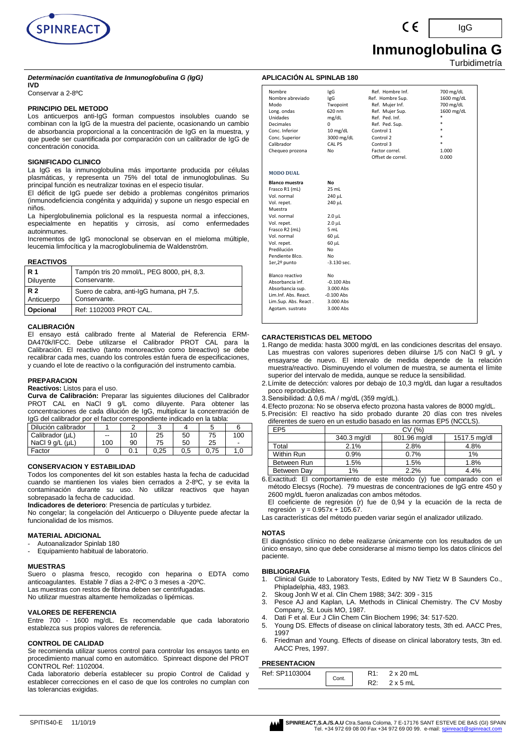

*Determinación cuantitativa de Inmunoglobulina G (IgG)*

## **IVD**

Conservar a 2-8ºC

#### **PRINCIPIO DEL METODO**

Los anticuerpos anti-IgG forman compuestos insolubles cuando se combinan con la IgG de la muestra del paciente, ocasionando un cambio de absorbancia proporcional a la concentración de IgG en la muestra, y que puede ser cuantificada por comparación con un calibrador de IgG de concentración conocida.

#### **SIGNIFICADO CLINICO**

La IgG es la inmunoglobulina más importante producida por células plasmáticas, y representa un 75% del total de inmunoglobulinas. Su principal función es neutralizar toxinas en el especio tisular.

El déficit de IgG puede ser debido a problemas congénitos primarios (inmunodeficiencia congénita y adquirida) y supone un riesgo especial en niños.

La hiperglobulinemia policlonal es la respuesta normal a infecciones, especialmente en hepatitis y cirrosis, así como enfermedades autoinmunes.

Incrementos de IgG monoclonal se observan en el mieloma múltiple, leucemia limfocítica y la macroglobulinemia de Waldenström.

#### **REACTIVOS**

| <b>R</b> 1 | Tampón tris 20 mmol/L, PEG 8000, pH, 8,3. |
|------------|-------------------------------------------|
| Diluyente  | Conservante.                              |
| <b>R2</b>  | Suero de cabra, anti-IgG humana, pH 7,5.  |
| Anticuerpo | Conservante.                              |
| Opcional   | Ref: 1102003 PROT CAL.                    |

#### **CALIBRACIÓN**

El ensayo está calibrado frente al Material de Referencia ERM-DA470k/IFCC. Debe utilizarse el Calibrador PROT CAL para la Calibración. El reactivo (tanto monoreactivo como bireactivo) se debe recalibrar cada mes, cuando los controles están fuera de especificaciones, y cuando el lote de reactivo o la configuración del instrumento cambia.

#### **PREPARACION**

#### **Reactivos:** Listos para el uso.

**Curva de Calibración:** Preparar las siguientes diluciones del Calibrador PROT CAL en NaCl 9 g/L como diluyente. Para obtener las concentraciones de cada dilución de IgG, multiplicar la concentración de IgG del calibrador por el factor correspondiente indicado en la tabla:

| Dilución calibrador |     |     |      |     |      |     |
|---------------------|-----|-----|------|-----|------|-----|
| Calibrador (µL)     | $-$ | 10  | 25   | 50  | 75   | 100 |
| NaCl $9$ $a/L$ (uL) | 100 | 90  | 75   | 50  | 25   | ۰   |
| Factor              |     | 0.1 | 0.25 | 0.5 | 0.75 | 1.0 |

#### **CONSERVACION Y ESTABILIDAD**

Todos los componentes del kit son estables hasta la fecha de caducidad cuando se mantienen los viales bien cerrados a 2-8ºC, y se evita la contaminación durante su uso. No utilizar reactivos que hayan sobrepasado la fecha de caducidad.

**Indicadores de deterioro**: Presencia de partículas y turbidez.

No congelar; la congelación del Anticuerpo o Diluyente puede afectar la funcionalidad de los mismos.

#### **MATERIAL ADICIONAL**

- Autoanalizador Spinlab 180
- Equipamiento habitual de laboratorio.

#### **MUESTRAS**

Suero o plasma fresco, recogido con heparina o EDTA como anticoagulantes. Estable 7 días a 2-8ºC o 3 meses a -20ºC. Las muestras con restos de fibrina deben ser centrifugadas. No utilizar muestras altamente hemolizadas o lipémicas.

## **VALORES DE REFERENCIA**

Entre 700 - 1600 mg/dL. Es recomendable que cada laboratorio establezca sus propios valores de referencia.

#### **CONTROL DE CALIDAD**

Se recomienda utilizar sueros control para controlar los ensayos tanto en procedimiento manual como en automático. Spinreact dispone del PROT CONTROL Ref: 1102004.

Cada laboratorio debería establecer su propio Control de Calidad y establecer correcciones en el caso de que los controles no cumplan con las tolerancias exigidas.

## **Inmunoglobulina G** Turbidimetría

IgG

#### **APLICACIÓN AL SPINLAB 180**

| Nombre<br>Nombre abreviado<br>Modo<br>Long. ondas<br><b>Unidades</b><br><b>Decimales</b><br>Conc. Inferior<br>Conc. Superior<br>Calibrador<br>Chequeo prozona | IgG<br><b>IgG</b><br>Twopoint<br>620 nm<br>mg/dL<br>$\Omega$<br>10 mg/dL<br>3000 mg/dL<br>CAL PS<br>No | Ref. Hombre Inf.<br>Ref. Hombre Sup.<br>Ref. Mujer Inf.<br>Ref. Mujer Sup.<br>Ref. Ped. Inf.<br>Ref. Ped. Sup.<br>Control 1<br>Control 2<br>Control 3<br>Factor correl.<br>Offset de correl. | 700 mg/dL<br>1600 mg/dL<br>700 mg/dL<br>1600 mg/dL<br>$\ast$<br>$*$<br>$\ast$<br>$\ast$<br>1.000<br>0.000 |
|---------------------------------------------------------------------------------------------------------------------------------------------------------------|--------------------------------------------------------------------------------------------------------|----------------------------------------------------------------------------------------------------------------------------------------------------------------------------------------------|-----------------------------------------------------------------------------------------------------------|
| <b>MODO DUAL</b>                                                                                                                                              |                                                                                                        |                                                                                                                                                                                              |                                                                                                           |
| <b>Blanco muestra</b>                                                                                                                                         | No                                                                                                     |                                                                                                                                                                                              |                                                                                                           |
| Frasco R1 (mL)                                                                                                                                                | 25 mL                                                                                                  |                                                                                                                                                                                              |                                                                                                           |
| Vol. normal                                                                                                                                                   | 240 µL                                                                                                 |                                                                                                                                                                                              |                                                                                                           |
| Vol. repet.                                                                                                                                                   | 240 µL                                                                                                 |                                                                                                                                                                                              |                                                                                                           |
| Muestra                                                                                                                                                       |                                                                                                        |                                                                                                                                                                                              |                                                                                                           |
| Vol. normal                                                                                                                                                   | $2.0 \mu L$                                                                                            |                                                                                                                                                                                              |                                                                                                           |
| Vol. repet.                                                                                                                                                   | $2.0$ $\mu$ L                                                                                          |                                                                                                                                                                                              |                                                                                                           |
| Frasco R2 (mL)                                                                                                                                                | 5 mL                                                                                                   |                                                                                                                                                                                              |                                                                                                           |
| Vol. normal                                                                                                                                                   | 60 µL                                                                                                  |                                                                                                                                                                                              |                                                                                                           |
| Vol. repet.                                                                                                                                                   | 60 µL                                                                                                  |                                                                                                                                                                                              |                                                                                                           |
| Predilución                                                                                                                                                   | No                                                                                                     |                                                                                                                                                                                              |                                                                                                           |
| Pendiente Blco.                                                                                                                                               | No                                                                                                     |                                                                                                                                                                                              |                                                                                                           |
| 1er,2º punto                                                                                                                                                  | $-3.130$ sec.                                                                                          |                                                                                                                                                                                              |                                                                                                           |
| Blanco reactivo                                                                                                                                               | No                                                                                                     |                                                                                                                                                                                              |                                                                                                           |
| Absorbancia inf.                                                                                                                                              | $-0.100$ Abs                                                                                           |                                                                                                                                                                                              |                                                                                                           |
| Absorbancia sup.                                                                                                                                              | 3.000 Abs                                                                                              |                                                                                                                                                                                              |                                                                                                           |
| Lim.Inf. Abs. React.                                                                                                                                          | $-0.100$ Abs                                                                                           |                                                                                                                                                                                              |                                                                                                           |
| Lim.Sup. Abs. React.                                                                                                                                          | 3.000 Abs                                                                                              |                                                                                                                                                                                              |                                                                                                           |
| Agotam. sustrato                                                                                                                                              | 3.000 Abs                                                                                              |                                                                                                                                                                                              |                                                                                                           |
|                                                                                                                                                               |                                                                                                        |                                                                                                                                                                                              |                                                                                                           |

#### **CARACTERISTICAS DEL METODO**

- 1.Rango de medida: hasta 3000 mg/dL en las condiciones descritas del ensayo. Las muestras con valores superiores deben diluirse 1/5 con NaCl 9 g/L y ensayarse de nuevo. El intervalo de medida depende de la relación muestra/reactivo. Disminuyendo el volumen de muestra, se aumenta el límite superior del intervalo de medida, aunque se reduce la sensibilidad.
- 2.Límite de detección: valores por debajo de 10,3 mg/dL dan lugar a resultados poco reproducibles.
- 3.Sensibilidad: Δ 0,6 mA / mg/dL (359 mg/dL).
- 4.Efecto prozona: No se observa efecto prozona hasta valores de 8000 mg/dL.
- 5.Precisión: El reactivo ha sido probado durante 20 días con tres niveles diferentes de suero en un estudio basado en las normas EP5 (NCCLS).

| andronico do odoro on an ootadio bacado on ido nomitao Er o (1100EO). |             |              |              |  |  |  |
|-----------------------------------------------------------------------|-------------|--------------|--------------|--|--|--|
| EP <sub>5</sub>                                                       | CV (%)      |              |              |  |  |  |
|                                                                       | 340.3 mg/dl | 801.96 mg/dl | 1517.5 mg/dl |  |  |  |
| Total                                                                 | 2.1%        | 2.8%         | 4.8%         |  |  |  |
| Within Run                                                            | 0.9%        | 0.7%         | 1%           |  |  |  |
| Between Run                                                           | 1.5%        | 1.5%         | 1.8%         |  |  |  |
| Between Day                                                           | 1%          | 2.2%         | 4.4%         |  |  |  |
|                                                                       |             |              |              |  |  |  |

6.Exactitud: El comportamiento de este método (y) fue comparado con el método Elecsys (Roche). 79 muestras de concentraciones de IgG entre 450 y 2600 mg/dL fueron analizadas con ambos métodos.

El coeficiente de regresión (r) fue de 0,94 y la ecuación de la recta de regresión  $y = 0.957x + 105.67$ .

Las características del método pueden variar según el analizador utilizado.

#### **NOTAS**

El diagnóstico clínico no debe realizarse únicamente con los resultados de un único ensayo, sino que debe considerarse al mismo tiempo los datos clínicos del paciente.

## **BIBLIOGRAFIA**

- 1. Clinical Guide to Laboratory Tests, Edited by NW Tietz W B Saunders Co., Phipladelphia, 483, 1983.
- 2. Skoug Jonh W et al. Clin Chem 1988; 34/2: 309 315
- 3. Pesce AJ and Kaplan, LA. Methods in Clinical Chemistry. The CV Mosby Company, St. Louis MO, 1987.
- Dati F et al. Eur J Clin Chem Clin Biochem 1996; 34: 517-520.
- 5. Young DS. Effects of disease on clinical laboratory tests, 3th ed. AACC Pres, 1997
- 6. Friedman and Young. Effects of disease on clinical laboratory tests, 3tn ed. AACC Pres, 1997.

#### **PRESENTACION**

| .              |       |                  |
|----------------|-------|------------------|
| Ref: SP1103004 | Cont. | $2 \times 20$ mL |
|                |       | $2 \times 5$ mL  |

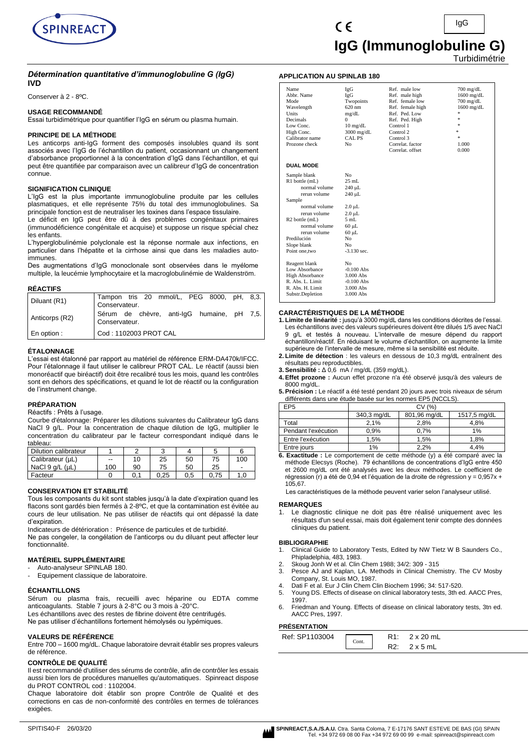

## *Détermination quantitative d'immunoglobuline G (IgG)* **IVD**

Conserver à 2 - 8ºC.

#### **USAGE RECOMMANDÉ**

Essai turbidimétrique pour quantifier l'IgG en sérum ou plasma humain.

#### **PRINCIPE DE LA MÉTHODE**

Les anticorps anti-IgG forment des composés insolubles quand ils sont associés avec l'IgG de l'échantillon du patient, occasionnant un changement d'absorbance proportionnel à la concentration d'IgG dans l'échantillon, et qui peut être quantifiée par comparaison avec un calibreur d'IgG de concentration connue.

#### **SIGNIFICATION CLINIQUE**

L'IgG est la plus importante immunoglobuline produite par les cellules plasmatiques, et elle représente 75% du total des immunoglobulines. Sa principale fonction est de neutraliser les toxines dans l'espace tissulaire.

Le déficit en IgG peut être dû à des problèmes congénitaux primaires (immunodéficience congénitale et acquise) et suppose un risque spécial chez les enfants.

L'hyperglobulinémie polyclonale est la réponse normale aux infections, en particulier dans l'hépatite et la cirrhose ainsi que dans les maladies autoimmunes.

Des augmentations d'IgG monoclonale sont observées dans le myélome multiple, la leucémie lymphocytaire et la macroglobulinémie de Waldenström.

#### **RÉACTIFS**

| Diluant (R1)   | Tampon tris 20 mmol/L, PEG 8000, pH, 8,3.<br>Conservateur.  |  |  |  |
|----------------|-------------------------------------------------------------|--|--|--|
| Anticorps (R2) | Sérum de chèvre, anti-lgG humaine, pH 7,5.<br>Conservateur. |  |  |  |
| En option:     | Cod: 1102003 PROT CAL                                       |  |  |  |

### **ÉTALONNAGE**

L'essai est étalonné par rapport au matériel de référence ERM-DA470k/IFCC. Pour l'étalonnage il faut utiliser le calibreur PROT CAL. Le réactif (aussi bien monoréactif que biréactif) doit être recalibré tous les mois, quand les contrôles sont en dehors des spécifications, et quand le lot de réactif ou la configuration de l'instrument change.

## **PRÉPARATION**

Réactifs : Prêts à l'usage.

Courbe d'étalonnage: Préparer les dilutions suivantes du Calibrateur IgG dans NaCl 9 g/L. Pour la concentration de chaque dilution de IgG, multiplier le concentration du calibrateur par le facteur correspondant indiqué dans le tableau:

| Dilution calibrateur    |     |    |      |         |      |     |
|-------------------------|-----|----|------|---------|------|-----|
| Calibrateur (µL)        | $-$ | 10 | 25   | 50      | 75   | 100 |
| NaCl $9$ q/L ( $\mu$ L) | 100 | 90 | 75   | 50      | 25   | -   |
| Facteur                 |     |    | 0.25 | $0.5\,$ | 0.75 |     |

#### **CONSERVATION ET STABILITÉ**

Tous les composants du kit sont stables jusqu'à la date d'expiration quand les flacons sont gardés bien fermés à 2-8ºC, et que la contamination est évitée au cours de leur utilisation. Ne pas utiliser de réactifs qui ont dépassé la date d'expiration.

Indicateurs de détérioration : Présence de particules et de turbidité. Ne pas congeler, la congélation de l'anticorps ou du diluant peut affecter leur fonctionnalité.

### **MATÉRIEL SUPPLÉMENTAIRE**

- Auto-analyseur SPINLAB 180.
- Equipement classique de laboratoire.

#### **ÉCHANTILLONS**

Sérum ou plasma frais, recueilli avec héparine ou EDTA comme anticoagulants. Stable 7 jours à 2-8°C ou 3 mois à -20°C.

Les échantillons avec des restes de fibrine doivent être centrifugés. Ne pas utiliser d'échantillons fortement hémolysés ou lypémiques.

#### **VALEURS DE RÉFÉRENCE**

Entre 700 – 1600 mg/dL. Chaque laboratoire devrait établir ses propres valeurs de référence.

## **CONTRÔLE DE QUALITÉ**

Il est recommandé d'utiliser des sérums de contrôle, afin de contrôler les essais aussi bien lors de procédures manuelles qu'automatiques. Spinreact dispose du PROT CONTROL cod : 1102004.

Chaque laboratoire doit établir son propre Contrôle de Qualité et des corrections en cas de non-conformité des contrôles en termes de tolérances exigées.

#### **APPLICATION AU SPINLAB 180**

| IgG                | Ref. male low                                                                                                                                                               | $700$ mg/dL         |
|--------------------|-----------------------------------------------------------------------------------------------------------------------------------------------------------------------------|---------------------|
| IgG                | Ref. male high                                                                                                                                                              | $1600$ mg/dL        |
| Twopoints          | Ref. female low                                                                                                                                                             | $700 \text{ mg/dL}$ |
| 620 nm             | Ref. female high                                                                                                                                                            | $1600$ mg/dL        |
| mg/dL              | Ref. Ped. Low                                                                                                                                                               | *                   |
| 0                  | Ref. Ped. High                                                                                                                                                              | 冰                   |
| $10 \text{ mg/dL}$ | Control 1                                                                                                                                                                   | ×.                  |
| 3000 mg/dL         | Control 2                                                                                                                                                                   | $\ast$              |
| <b>CAL PS</b>      | Control 3                                                                                                                                                                   | $\pm$               |
|                    |                                                                                                                                                                             | 1.000               |
|                    | Correlat. offset                                                                                                                                                            | 0.000               |
|                    |                                                                                                                                                                             |                     |
|                    |                                                                                                                                                                             |                     |
|                    |                                                                                                                                                                             |                     |
|                    |                                                                                                                                                                             |                     |
|                    |                                                                                                                                                                             |                     |
|                    |                                                                                                                                                                             |                     |
|                    |                                                                                                                                                                             |                     |
|                    |                                                                                                                                                                             |                     |
|                    |                                                                                                                                                                             |                     |
|                    |                                                                                                                                                                             |                     |
|                    |                                                                                                                                                                             |                     |
|                    |                                                                                                                                                                             |                     |
|                    |                                                                                                                                                                             |                     |
|                    |                                                                                                                                                                             |                     |
|                    |                                                                                                                                                                             |                     |
| N <sub>0</sub>     |                                                                                                                                                                             |                     |
| $-0.100$ Abs       |                                                                                                                                                                             |                     |
| 3.000 Abs          |                                                                                                                                                                             |                     |
| $-0.100$ Abs       |                                                                                                                                                                             |                     |
| 3.000 Abs          |                                                                                                                                                                             |                     |
| 3.000 Abs          |                                                                                                                                                                             |                     |
|                    | N <sub>o</sub><br>N <sub>0</sub><br>$25$ mL<br>240 µL<br>240 µL<br>$2.0 \mu L$<br>$2.0 \mu L$<br>5 mL<br>$60 \mu L$<br>$60 \mu L$<br>No.<br>N <sub>0</sub><br>$-3.130$ sec. | Correlat. factor    |

#### **CARACTÉRISTIQUES DE LA MÉTHODE**

- **1. Limite de linéarité :** jusqu'à 3000 mg/dL dans les conditions décrites de l'essai. Les échantillons avec des valeurs supérieures doivent être dilués 1/5 avec NaCl<br>9 q/L et testés à nouveau. L'intervalle de mesure dépend du rapport g/L et testés à nouveau. L'intervalle de mesure dépend du rapport échantillon/réactif. En réduisant le volume d'échantillon, on augmente la limite supérieure de l'intervalle de mesure, même si la sensibilité est réduite.
- **2. Limite de détection** : les valeurs en dessous de 10,3 mg/dL entraînent des résultats peu reproductibles.
- **3. Sensibilité :** Δ 0,6 mA / mg/dL (359 mg/dL).
- **4. Effet prozone :** Aucun effet prozone n'a été observé jusqu'à des valeurs de 8000 mg/dL.
- **5. Précision :** Le réactif a été testé pendant 20 jours avec trois niveaux de sérum différents dans une étude basée sur les normes EP5 (NCCLS).

| EP5                 | CV(%)       |              |              |  |
|---------------------|-------------|--------------|--------------|--|
|                     | 340,3 mg/dL | 801,96 mg/dL | 1517,5 mg/dL |  |
| Total               | 2.1%        | 2.8%         | 4.8%         |  |
| Pendant l'exécution | 0.9%        | 0.7%         | 1%           |  |
| Entre l'exécution   | 1.5%        | 1.5%         | 1,8%         |  |
| Entre jours         | 1%          | 2,2%         | 4.4%         |  |

**6. Exactitude :** Le comportement de cette méthode (y) a été comparé avec la méthode Elecsys (Roche). 79 échantillons de concentrations d'IgG entre 450 et 2600 mg/dL ont été analysés avec les deux méthodes. Le coefficient de régression (r) a été de 0,94 et l'équation de la droite de régression  $y = 0.957x +$ 105,67.

Les caractéristiques de la méthode peuvent varier selon l'analyseur utilisé.

#### **REMARQUES**

1. Le diagnostic clinique ne doit pas être réalisé uniquement avec les résultats d'un seul essai, mais doit également tenir compte des données cliniques du patient.

#### **BIBLIOGRAPHIE**

- 1. Clinical Guide to Laboratory Tests, Edited by NW Tietz W B Saunders Co., Phipladelphia, 483, 1983.
- 
- 2. Skoug Jonh W et al. Clin Chem 1988; 34/2: 309 315<br>3. Pesce AJ and Kaplan. LA. Methods in Clinical Cher Pesce AJ and Kaplan, LA. Methods in Clinical Chemistry. The CV Mosby Company, St. Louis MO, 1987.
- Dati F et al. Eur J Clin Chem Clin Biochem 1996; 34: 517-520.
- 5. Young DS. Effects of disease on clinical laboratory tests, 3th ed. AACC Pres, 1997.
- 6. Friedman and Young. Effects of disease on clinical laboratory tests, 3tn ed. AACC Pres, 1997.

## **PRÉSENTATION**

| .              |       |          |                 |
|----------------|-------|----------|-----------------|
| Ref: SP1103004 | Cont. |          | 2 x 20 mL       |
|                |       | R2.<br>. | $2 \times 5$ mL |